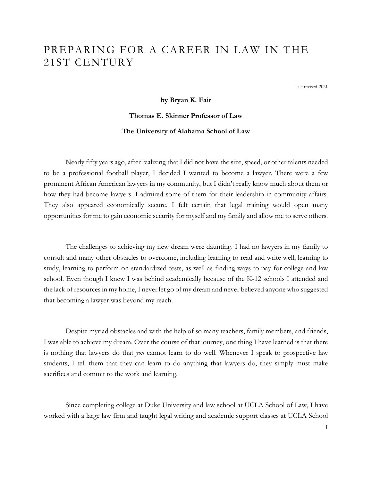# PREPARING FOR A CAREER IN LAW IN THE 21ST CENTURY

last revised-2021

**by Bryan K. Fair**

# **Thomas E. Skinner Professor of Law**

#### **The University of Alabama School of Law**

Nearly fifty years ago, after realizing that I did not have the size, speed, or other talents needed to be a professional football player, I decided I wanted to become a lawyer. There were a few prominent African American lawyers in my community, but I didn't really know much about them or how they had become lawyers. I admired some of them for their leadership in community affairs. They also appeared economically secure. I felt certain that legal training would open many opportunities for me to gain economic security for myself and my family and allow me to serve others.

The challenges to achieving my new dream were daunting. I had no lawyers in my family to consult and many other obstacles to overcome, including learning to read and write well, learning to study, learning to perform on standardized tests, as well as finding ways to pay for college and law school. Even though I knew I was behind academically because of the K-12 schools I attended and the lack of resources in my home, I never let go of my dream and never believed anyone who suggested that becoming a lawyer was beyond my reach.

Despite myriad obstacles and with the help of so many teachers, family members, and friends, I was able to achieve my dream. Over the course of that journey, one thing I have learned is that there is nothing that lawyers do that *you* cannot learn to do well. Whenever I speak to prospective law students, I tell them that they can learn to do anything that lawyers do, they simply must make sacrifices and commit to the work and learning.

Since completing college at Duke University and law school at UCLA School of Law, I have worked with a large law firm and taught legal writing and academic support classes at UCLA School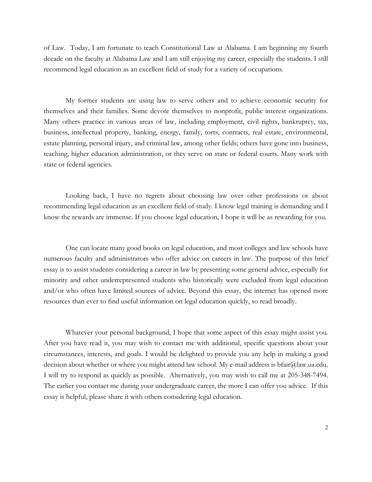of Law. Today, I am fortunate to teach Constitutional Law at Alabama. I am beginning my fourth decade on the faculty at Alabama Law and I am still enjoying my career, especially the students. I still recommend legal education as an excellent field of study for a variety of occupations.

My former students are using law to serve others and to achieve economic security for themselves and their families. Some devote themselves to nonprofit, public interest organizations. Many others practice in various areas of law, including employment, civil rights, bankruptcy, tax, business, intellectual property, banking, energy, family, torts, contracts, real estate, environmental, estate planning, personal injury, and criminal law, among other fields; others have gone into business, teaching, higher education administration, or they serve on state or federal courts. Many work with state or federal agencies.

Looking back, I have no regrets about choosing law over other professions or about recommending legal education as an excellent field of study. I know legal training is demanding and I know the rewards are immense. If you choose legal education, I hope it will be as rewarding for you.

One can locate many good books on legal education, and most colleges and law schools have numerous faculty and administrators who offer advice on careers in law. The purpose of this brief essay is to assist students considering a career in law by presenting some general advice, especially for minority and other underrepresented students who historically were excluded from legal education and/or who often have limited sources of advice. Beyond this essay, the internet has opened more resources than ever to find useful information on legal education quickly, so read broadly.

Whatever your personal background, I hope that some aspect of this essay might assist you. After you have read it, you may wish to contact me with additional, specific questions about your circumstances, interests, and goals. I would be delighted to provide you any help in making a good decision about whether or where you might attend law school. My e-mail address is bfair@law.ua.edu. I will try to respond as quickly as possible. Alternatively, you may wish to call me at 205-348-7494. The earlier you contact me during your undergraduate career, the more I can offer you advice. If this essay is helpful, please share it with others considering legal education.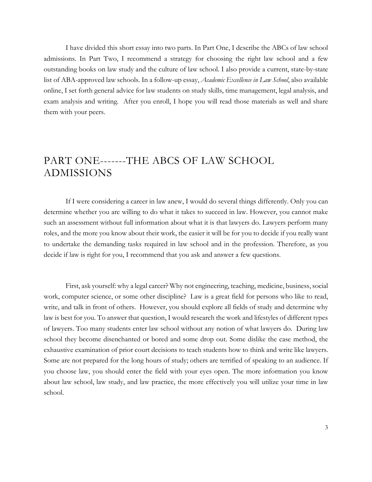I have divided this short essay into two parts. In Part One, I describe the ABCs of law school admissions. In Part Two, I recommend a strategy for choosing the right law school and a few outstanding books on law study and the culture of law school. I also provide a current, state-by-state list of ABA-approved law schools. In a follow-up essay, *Academic Excellence in Law School*, also available online, I set forth general advice for law students on study skills, time management, legal analysis, and exam analysis and writing. After you enroll, I hope you will read those materials as well and share them with your peers.

# PART ONE-------THE ABCS OF LAW SCHOOL ADMISSIONS

If I were considering a career in law anew, I would do several things differently. Only you can determine whether you are willing to do what it takes to succeed in law. However, you cannot make such an assessment without full information about what it is that lawyers do. Lawyers perform many roles, and the more you know about their work, the easier it will be for you to decide if you really want to undertake the demanding tasks required in law school and in the profession. Therefore, as you decide if law is right for you, I recommend that you ask and answer a few questions.

First, ask yourself: why a legal career? Why not engineering, teaching, medicine, business, social work, computer science, or some other discipline? Law is a great field for persons who like to read, write, and talk in front of others. However, you should explore all fields of study and determine why law is best for you. To answer that question, I would research the work and lifestyles of different types of lawyers. Too many students enter law school without any notion of what lawyers do. During law school they become disenchanted or bored and some drop out. Some dislike the case method, the exhaustive examination of prior court decisions to teach students how to think and write like lawyers. Some are not prepared for the long hours of study; others are terrified of speaking to an audience. If you choose law, you should enter the field with your eyes open. The more information you know about law school, law study, and law practice, the more effectively you will utilize your time in law school.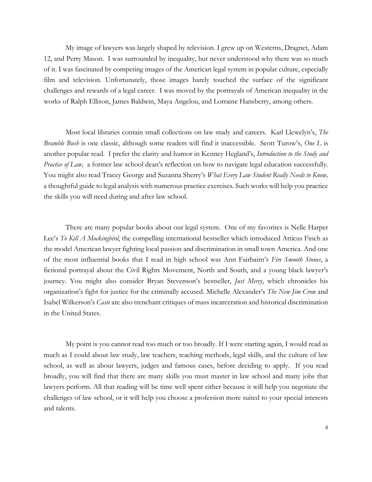My image of lawyers was largely shaped by television. I grew up on Westerns, Dragnet, Adam 12, and Perry Mason. I was surrounded by inequality, but never understood why there was so much of it. I was fascinated by competing images of the American legal system in popular culture, especially film and television. Unfortunately, those images barely touched the surface of the significant challenges and rewards of a legal career. I was moved by the portrayals of American inequality in the works of Ralph Ellison, James Baldwin, Maya Angelou, and Lorraine Hansberry, among others.

Most local libraries contain small collections on law study and careers. Karl Llewelyn's, *The Bramble Bush* is one classic, although some readers will find it inaccessible. Scott Turow's, *One L* is another popular read. I prefer the clarity and humor in Kenney Hegland's, *Introduction to the Study and Practice of Law,* a former law school dean's reflection on how to navigate legal education successfully*.* You might also read Tracey George and Suzanna Sherry's *What Every Law Student Really Needs to Know,*  a thoughtful guide to legal analysis with numerous practice exercises*.* Such works will help you practice the skills you will need during and after law school.

There are many popular books about our legal system. One of my favorites is Nelle Harper Lee's *To Kill A Mockingbird*, the compelling international bestseller which introduced Atticus Finch as the model American lawyer fighting local passion and discrimination in small town America. And one of the most influential books that I read in high school was Ann Fairbairn's *Fire Smooth Stones*, a fictional portrayal about the Civil Rights Movement, North and South, and a young black lawyer's journey. You might also consider Bryan Stevenson's bestseller, *Just Mercy*, which chronicles his organization's fight for justice for the criminally accused. Michelle Alexander's *The New Jim Crow* and Isabel Wilkerson's *Caste* are also trenchant critiques of mass incarceration and historical discrimination in the United States.

My point is you cannot read too much or too broadly. If I were starting again, I would read as much as I could about law study, law teachers, teaching methods, legal skills, and the culture of law school, as well as about lawyers, judges and famous cases, before deciding to apply. If you read broadly, you will find that there are many skills you must master in law school and many jobs that lawyers perform. All that reading will be time well spent either because it will help you negotiate the challenges of law school, or it will help you choose a profession more suited to your special interests and talents.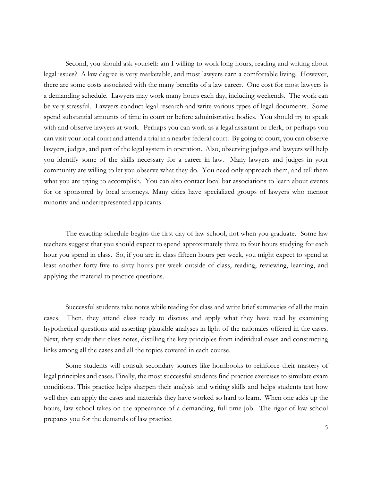Second, you should ask yourself: am I willing to work long hours, reading and writing about legal issues? A law degree is very marketable, and most lawyers earn a comfortable living. However, there are some costs associated with the many benefits of a law career. One cost for most lawyers is a demanding schedule. Lawyers may work many hours each day, including weekends. The work can be very stressful. Lawyers conduct legal research and write various types of legal documents. Some spend substantial amounts of time in court or before administrative bodies. You should try to speak with and observe lawyers at work. Perhaps you can work as a legal assistant or clerk, or perhaps you can visit your local court and attend a trial in a nearby federal court. By going to court, you can observe lawyers, judges, and part of the legal system in operation. Also, observing judges and lawyers will help you identify some of the skills necessary for a career in law. Many lawyers and judges in your community are willing to let you observe what they do. You need only approach them, and tell them what you are trying to accomplish. You can also contact local bar associations to learn about events for or sponsored by local attorneys. Many cities have specialized groups of lawyers who mentor minority and underrepresented applicants.

The exacting schedule begins the first day of law school, not when you graduate. Some law teachers suggest that you should expect to spend approximately three to four hours studying for each hour you spend in class. So, if you are in class fifteen hours per week, you might expect to spend at least another forty-five to sixty hours per week outside of class, reading, reviewing, learning, and applying the material to practice questions.

Successful students take notes while reading for class and write brief summaries of all the main cases. Then, they attend class ready to discuss and apply what they have read by examining hypothetical questions and asserting plausible analyses in light of the rationales offered in the cases. Next, they study their class notes, distilling the key principles from individual cases and constructing links among all the cases and all the topics covered in each course.

Some students will consult secondary sources like hornbooks to reinforce their mastery of legal principles and cases. Finally, the most successful students find practice exercises to simulate exam conditions. This practice helps sharpen their analysis and writing skills and helps students test how well they can apply the cases and materials they have worked so hard to learn. When one adds up the hours, law school takes on the appearance of a demanding, full-time job. The rigor of law school prepares you for the demands of law practice.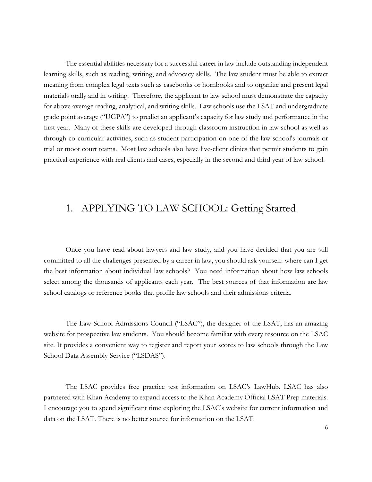The essential abilities necessary for a successful career in law include outstanding independent learning skills, such as reading, writing, and advocacy skills. The law student must be able to extract meaning from complex legal texts such as casebooks or hornbooks and to organize and present legal materials orally and in writing. Therefore, the applicant to law school must demonstrate the capacity for above average reading, analytical, and writing skills. Law schools use the LSAT and undergraduate grade point average ("UGPA") to predict an applicant's capacity for law study and performance in the first year. Many of these skills are developed through classroom instruction in law school as well as through co-curricular activities, such as student participation on one of the law school's journals or trial or moot court teams. Most law schools also have live-client clinics that permit students to gain practical experience with real clients and cases, especially in the second and third year of law school.

# 1. APPLYING TO LAW SCHOOL: Getting Started

Once you have read about lawyers and law study, and you have decided that you are still committed to all the challenges presented by a career in law, you should ask yourself: where can I get the best information about individual law schools? You need information about how law schools select among the thousands of applicants each year. The best sources of that information are law school catalogs or reference books that profile law schools and their admissions criteria.

The Law School Admissions Council ("LSAC"), the designer of the LSAT, has an amazing website for prospective law students. You should become familiar with every resource on the LSAC site. It provides a convenient way to register and report your scores to law schools through the Law School Data Assembly Service ("LSDAS").

The LSAC provides free practice test information on LSAC's LawHub. LSAC has also partnered with Khan Academy to expand access to the Khan Academy Official LSAT Prep materials. I encourage you to spend significant time exploring the LSAC's website for current information and data on the LSAT. There is no better source for information on the LSAT.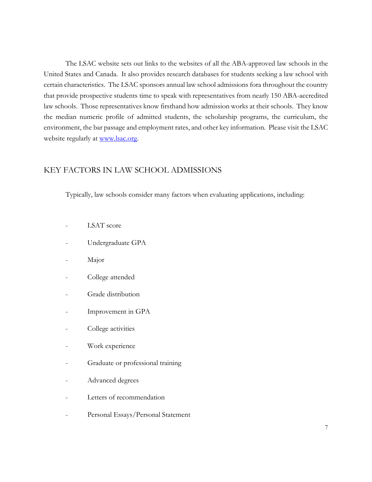The LSAC website sets out links to the websites of all the ABA-approved law schools in the United States and Canada. It also provides research databases for students seeking a law school with certain characteristics. The LSAC sponsors annual law school admissions fora throughout the country that provide prospective students time to speak with representatives from nearly 150 ABA-accredited law schools. Those representatives know firsthand how admission works at their schools. They know the median numeric profile of admitted students, the scholarship programs, the curriculum, the environment, the bar passage and employment rates, and other key information. Please visit the LSAC website regularly at [www.lsac.org.](http://www.lsac.org/)

### KEY FACTORS IN LAW SCHOOL ADMISSIONS

Typically, law schools consider many factors when evaluating applications, including:

- LSAT score
- Undergraduate GPA
- Major
- College attended
- Grade distribution
- Improvement in GPA
- College activities
- Work experience
- Graduate or professional training
- Advanced degrees
- Letters of recommendation
- Personal Essays/Personal Statement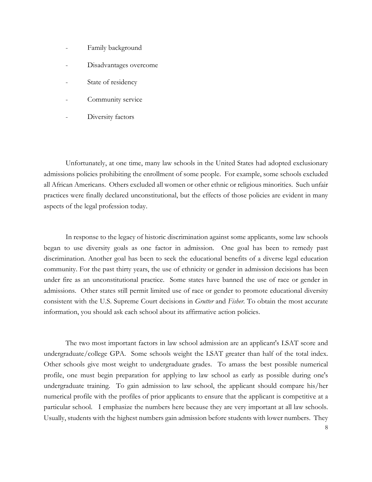- Family background
- Disadvantages overcome
- State of residency
- Community service
- Diversity factors

Unfortunately, at one time, many law schools in the United States had adopted exclusionary admissions policies prohibiting the enrollment of some people. For example, some schools excluded all African Americans. Others excluded all women or other ethnic or religious minorities. Such unfair practices were finally declared unconstitutional, but the effects of those policies are evident in many aspects of the legal profession today.

In response to the legacy of historic discrimination against some applicants, some law schools began to use diversity goals as one factor in admission. One goal has been to remedy past discrimination. Another goal has been to seek the educational benefits of a diverse legal education community. For the past thirty years, the use of ethnicity or gender in admission decisions has been under fire as an unconstitutional practice. Some states have banned the use of race or gender in admissions. Other states still permit limited use of race or gender to promote educational diversity consistent with the U.S. Supreme Court decisions in *Grutter* and *Fisher*. To obtain the most accurate information, you should ask each school about its affirmative action policies.

The two most important factors in law school admission are an applicant's LSAT score and undergraduate/college GPA. Some schools weight the LSAT greater than half of the total index. Other schools give most weight to undergraduate grades. To amass the best possible numerical profile, one must begin preparation for applying to law school as early as possible during one's undergraduate training. To gain admission to law school, the applicant should compare his/her numerical profile with the profiles of prior applicants to ensure that the applicant is competitive at a particular school. I emphasize the numbers here because they are very important at all law schools. Usually, students with the highest numbers gain admission before students with lower numbers. They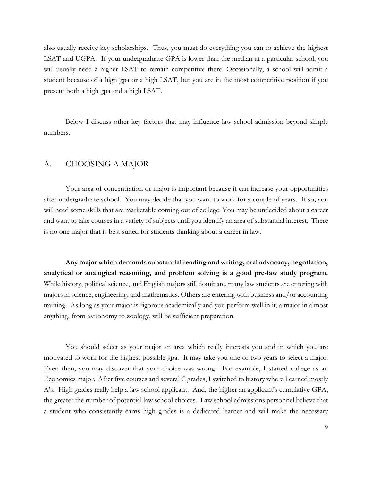also usually receive key scholarships. Thus, you must do everything you can to achieve the highest LSAT and UGPA. If your undergraduate GPA is lower than the median at a particular school, you will usually need a higher LSAT to remain competitive there. Occasionally, a school will admit a student because of a high gpa or a high LSAT, but you are in the most competitive position if you present both a high gpa and a high LSAT.

Below I discuss other key factors that may influence law school admission beyond simply numbers.

#### A. CHOOSING A MAJOR

Your area of concentration or major is important because it can increase your opportunities after undergraduate school. You may decide that you want to work for a couple of years. If so, you will need some skills that are marketable coming out of college. You may be undecided about a career and want to take courses in a variety of subjects until you identify an area of substantial interest. There is no one major that is best suited for students thinking about a career in law.

**Any major which demands substantial reading and writing, oral advocacy, negotiation, analytical or analogical reasoning, and problem solving is a good pre-law study program.**  While history, political science, and English majors still dominate, many law students are entering with majors in science, engineering, and mathematics. Others are entering with business and/or accounting training. As long as your major is rigorous academically and you perform well in it, a major in almost anything, from astronomy to zoology, will be sufficient preparation.

You should select as your major an area which really interests you and in which you are motivated to work for the highest possible gpa. It may take you one or two years to select a major. Even then, you may discover that your choice was wrong. For example, I started college as an Economics major. After five courses and several C grades, I switched to history where I earned mostly A's. High grades really help a law school applicant. And, the higher an applicant's cumulative GPA, the greater the number of potential law school choices. Law school admissions personnel believe that a student who consistently earns high grades is a dedicated learner and will make the necessary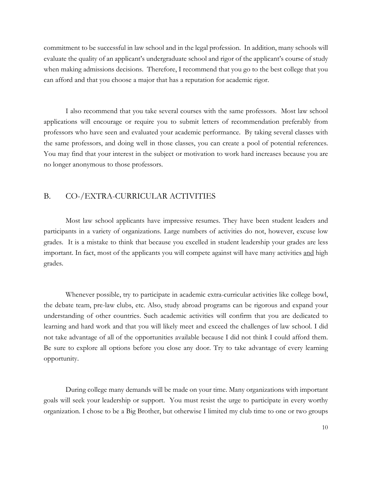commitment to be successful in law school and in the legal profession. In addition, many schools will evaluate the quality of an applicant's undergraduate school and rigor of the applicant's course of study when making admissions decisions. Therefore, I recommend that you go to the best college that you can afford and that you choose a major that has a reputation for academic rigor.

I also recommend that you take several courses with the same professors. Most law school applications will encourage or require you to submit letters of recommendation preferably from professors who have seen and evaluated your academic performance. By taking several classes with the same professors, and doing well in those classes, you can create a pool of potential references. You may find that your interest in the subject or motivation to work hard increases because you are no longer anonymous to those professors.

### B. CO-/EXTRA-CURRICULAR ACTIVITIES

Most law school applicants have impressive resumes. They have been student leaders and participants in a variety of organizations. Large numbers of activities do not, however, excuse low grades. It is a mistake to think that because you excelled in student leadership your grades are less important. In fact, most of the applicants you will compete against will have many activities and high grades.

Whenever possible, try to participate in academic extra-curricular activities like college bowl, the debate team, pre-law clubs, etc. Also, study abroad programs can be rigorous and expand your understanding of other countries. Such academic activities will confirm that you are dedicated to learning and hard work and that you will likely meet and exceed the challenges of law school. I did not take advantage of all of the opportunities available because I did not think I could afford them. Be sure to explore all options before you close any door. Try to take advantage of every learning opportunity.

During college many demands will be made on your time. Many organizations with important goals will seek your leadership or support. You must resist the urge to participate in every worthy organization. I chose to be a Big Brother, but otherwise I limited my club time to one or two groups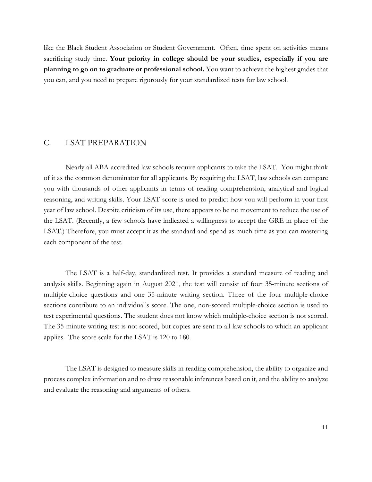like the Black Student Association or Student Government. Often, time spent on activities means sacrificing study time. **Your priority in college should be your studies, especially if you are planning to go on to graduate or professional school.** You want to achieve the highest grades that you can, and you need to prepare rigorously for your standardized tests for law school.

#### C. LSAT PREPARATION

Nearly all ABA-accredited law schools require applicants to take the LSAT. You might think of it as the common denominator for all applicants. By requiring the LSAT, law schools can compare you with thousands of other applicants in terms of reading comprehension, analytical and logical reasoning, and writing skills. Your LSAT score is used to predict how you will perform in your first year of law school. Despite criticism of its use, there appears to be no movement to reduce the use of the LSAT. (Recently, a few schools have indicated a willingness to accept the GRE in place of the LSAT.) Therefore, you must accept it as the standard and spend as much time as you can mastering each component of the test.

The LSAT is a half-day, standardized test. It provides a standard measure of reading and analysis skills. Beginning again in August 2021, the test will consist of four 35-minute sections of multiple-choice questions and one 35-minute writing section. Three of the four multiple-choice sections contribute to an individual's score. The one, non-scored multiple-choice section is used to test experimental questions. The student does not know which multiple-choice section is not scored. The 35-minute writing test is not scored, but copies are sent to all law schools to which an applicant applies. The score scale for the LSAT is 120 to 180.

The LSAT is designed to measure skills in reading comprehension, the ability to organize and process complex information and to draw reasonable inferences based on it, and the ability to analyze and evaluate the reasoning and arguments of others.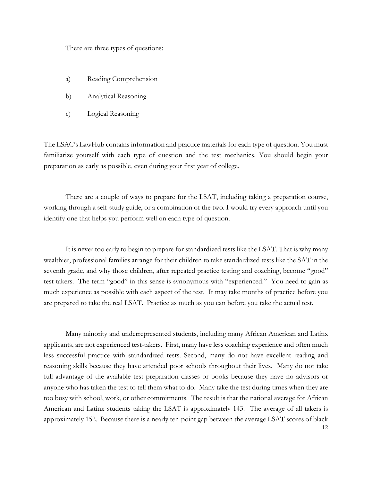There are three types of questions:

- a) Reading Comprehension
- b) Analytical Reasoning
- c) Logical Reasoning

The LSAC's LawHub contains information and practice materials for each type of question. You must familiarize yourself with each type of question and the test mechanics. You should begin your preparation as early as possible, even during your first year of college.

There are a couple of ways to prepare for the LSAT, including taking a preparation course, working through a self-study guide, or a combination of the two. I would try every approach until you identify one that helps you perform well on each type of question.

It is never too early to begin to prepare for standardized tests like the LSAT. That is why many wealthier, professional families arrange for their children to take standardized tests like the SAT in the seventh grade, and why those children, after repeated practice testing and coaching, become "good" test takers. The term "good" in this sense is synonymous with "experienced." You need to gain as much experience as possible with each aspect of the test. It may take months of practice before you are prepared to take the real LSAT. Practice as much as you can before you take the actual test.

12 Many minority and underrepresented students, including many African American and Latinx applicants, are not experienced test-takers. First, many have less coaching experience and often much less successful practice with standardized tests. Second, many do not have excellent reading and reasoning skills because they have attended poor schools throughout their lives. Many do not take full advantage of the available test preparation classes or books because they have no advisors or anyone who has taken the test to tell them what to do. Many take the test during times when they are too busy with school, work, or other commitments. The result is that the national average for African American and Latinx students taking the LSAT is approximately 143. The average of all takers is approximately 152. Because there is a nearly ten-point gap between the average LSAT scores of black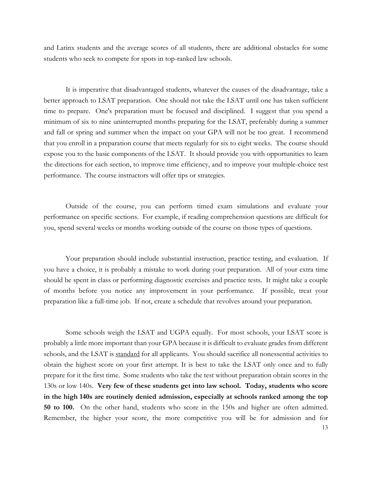and Latinx students and the average scores of all students, there are additional obstacles for some students who seek to compete for spots in top-ranked law schools.

It is imperative that disadvantaged students, whatever the causes of the disadvantage, take a better approach to LSAT preparation. One should not take the LSAT until one has taken sufficient time to prepare. One's preparation must be focused and disciplined. I suggest that you spend a minimum of six to nine uninterrupted months preparing for the LSAT, preferably during a summer and fall or spring and summer when the impact on your GPA will not be too great. I recommend that you enroll in a preparation course that meets regularly for six to eight weeks. The course should expose you to the basic components of the LSAT. It should provide you with opportunities to learn the directions for each section, to improve time efficiency, and to improve your multiple-choice test performance. The course instructors will offer tips or strategies.

Outside of the course, you can perform timed exam simulations and evaluate your performance on specific sections. For example, if reading comprehension questions are difficult for you, spend several weeks or months working outside of the course on those types of questions.

Your preparation should include substantial instruction, practice testing, and evaluation. If you have a choice, it is probably a mistake to work during your preparation. All of your extra time should be spent in class or performing diagnostic exercises and practice tests. It might take a couple of months before you notice any improvement in your performance. If possible, treat your preparation like a full-time job. If not, create a schedule that revolves around your preparation.

Some schools weigh the LSAT and UGPA equally. For most schools, your LSAT score is probably a little more important than your GPA because it is difficult to evaluate grades from different schools, and the LSAT is standard for all applicants. You should sacrifice all nonessential activities to obtain the highest score on your first attempt. It is best to take the LSAT only once and to fully prepare for it the first time. Some students who take the test without preparation obtain scores in the 130s or low 140s. **Very few of these students get into law school. Today, students who score in the high 140s are routinely denied admission, especially at schools ranked among the top 50 to 100.** On the other hand, students who score in the 150s and higher are often admitted. Remember, the higher your score, the more competitive you will be for admission and for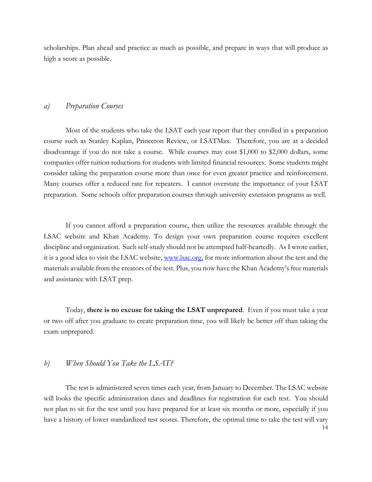scholarships. Plan ahead and practice as much as possible, and prepare in ways that will produce as high a score as possible.

#### *a) Preparation Courses*

Most of the students who take the LSAT each year report that they enrolled in a preparation course such as Stanley Kaplan, Princeton Review, or LSATMax. Therefore, you are at a decided disadvantage if you do not take a course. While courses may cost \$1,000 to \$2,000 dollars, some companies offer tuition reductions for students with limited financial resources. Some students might consider taking the preparation course more than once for even greater practice and reinforcement. Many courses offer a reduced rate for repeaters. I cannot overstate the importance of your LSAT preparation. Some schools offer preparation courses through university extension programs as well.

If you cannot afford a preparation course, then utilize the resources available through the LSAC website and Khan Academy. To design your own preparation course requires excellent discipline and organization. Such self-study should not be attempted half-heartedly. As I wrote earlier, it is a good idea to visit the LSAC website, [www.lsac.org,](http://www.lsac.org/) for more information about the test and the materials available from the creators of the test. Plus, you now have the Khan Academy's free materials and assistance with LSAT prep.

Today, **there is no excuse for taking the LSAT unprepared**. Even if you must take a year or two off after you graduate to create preparation time, you will likely be better off than taking the exam unprepared.

#### *b) When Should You Take the LSAT?*

14 The test is administered seven times each year, from January to December. The LSAC website will looks the specific administration dates and deadlines for registration for each test. You should not plan to sit for the test until you have prepared for at least six months or more, especially if you have a history of lower standardized test scores. Therefore, the optimal time to take the test will vary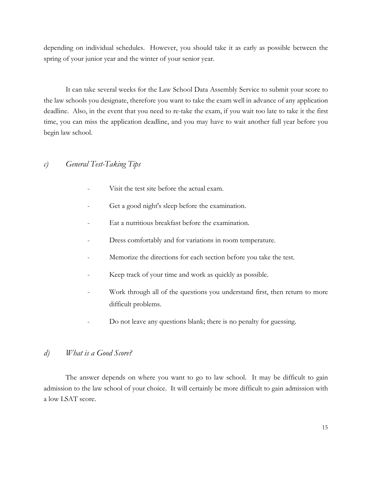depending on individual schedules. However, you should take it as early as possible between the spring of your junior year and the winter of your senior year.

It can take several weeks for the Law School Data Assembly Service to submit your score to the law schools you designate, therefore you want to take the exam well in advance of any application deadline. Also, in the event that you need to re-take the exam, if you wait too late to take it the first time, you can miss the application deadline, and you may have to wait another full year before you begin law school.

### *c) General Test-Taking Tips*

- Visit the test site before the actual exam.
- Get a good night's sleep before the examination.
- Eat a nutritious breakfast before the examination.
- Dress comfortably and for variations in room temperature.
- Memorize the directions for each section before you take the test.
- Keep track of your time and work as quickly as possible.
- Work through all of the questions you understand first, then return to more difficult problems.
- Do not leave any questions blank; there is no penalty for guessing.

### *d) What is a Good Score?*

The answer depends on where you want to go to law school. It may be difficult to gain admission to the law school of your choice. It will certainly be more difficult to gain admission with a low LSAT score.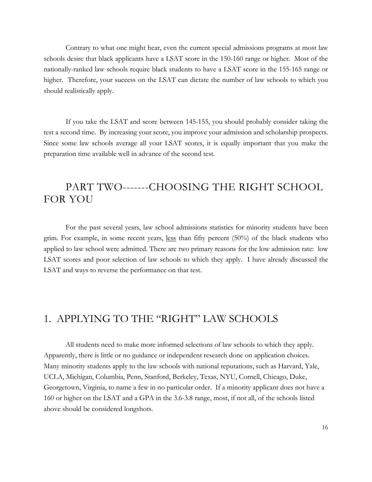Contrary to what one might hear, even the current special admissions programs at most law schools desire that black applicants have a LSAT score in the 150-160 range or higher. Most of the nationally-ranked law schools require black students to have a LSAT score in the 155-165 range or higher. Therefore, your success on the LSAT can dictate the number of law schools to which you should realistically apply.

If you take the LSAT and score between 145-155, you should probably consider taking the test a second time. By increasing your score, you improve your admission and scholarship prospects. Since some law schools average all your LSAT scores, it is equally important that you make the preparation time available well in advance of the second test.

# PART TWO-------CHOOSING THE RIGHT SCHOOL FOR YOU

For the past several years, law school admissions statistics for minority students have been grim. For example, in some recent years, less than fifty percent (50%) of the black students who applied to law school were admitted. There are two primary reasons for the low admission rate: low LSAT scores and poor selection of law schools to which they apply. I have already discussed the LSAT and ways to reverse the performance on that test.

# 1. APPLYING TO THE "RIGHT" LAW SCHOOLS

All students need to make more informed selections of law schools to which they apply. Apparently, there is little or no guidance or independent research done on application choices. Many minority students apply to the law schools with national reputations, such as Harvard, Yale, UCLA, Michigan, Columbia, Penn, Stanford, Berkeley, Texas, NYU, Cornell, Chicago, Duke, Georgetown, Virginia, to name a few in no particular order. If a minority applicant does not have a 160 or higher on the LSAT and a GPA in the 3.6-3.8 range, most, if not all, of the schools listed above should be considered longshots.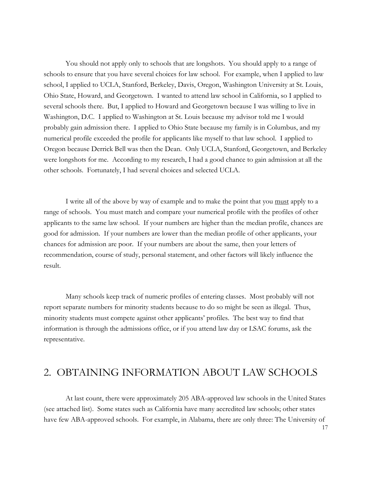You should not apply only to schools that are longshots. You should apply to a range of schools to ensure that you have several choices for law school. For example, when I applied to law school, I applied to UCLA, Stanford, Berkeley, Davis, Oregon, Washington University at St. Louis, Ohio State, Howard, and Georgetown. I wanted to attend law school in California, so I applied to several schools there. But, I applied to Howard and Georgetown because I was willing to live in Washington, D.C. I applied to Washington at St. Louis because my advisor told me I would probably gain admission there. I applied to Ohio State because my family is in Columbus, and my numerical profile exceeded the profile for applicants like myself to that law school. I applied to Oregon because Derrick Bell was then the Dean. Only UCLA, Stanford, Georgetown, and Berkeley were longshots for me. According to my research, I had a good chance to gain admission at all the other schools. Fortunately, I had several choices and selected UCLA.

I write all of the above by way of example and to make the point that you must apply to a range of schools. You must match and compare your numerical profile with the profiles of other applicants to the same law school. If your numbers are higher than the median profile, chances are good for admission. If your numbers are lower than the median profile of other applicants, your chances for admission are poor. If your numbers are about the same, then your letters of recommendation, course of study, personal statement, and other factors will likely influence the result.

Many schools keep track of numeric profiles of entering classes. Most probably will not report separate numbers for minority students because to do so might be seen as illegal. Thus, minority students must compete against other applicants' profiles. The best way to find that information is through the admissions office, or if you attend law day or LSAC forums, ask the representative.

### 2. OBTAINING INFORMATION ABOUT LAW SCHOOLS

At last count, there were approximately 205 ABA-approved law schools in the United States (see attached list). Some states such as California have many accredited law schools; other states have few ABA-approved schools. For example, in Alabama, there are only three: The University of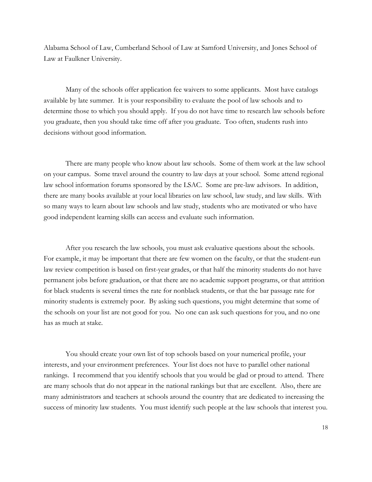Alabama School of Law, Cumberland School of Law at Samford University, and Jones School of Law at Faulkner University.

Many of the schools offer application fee waivers to some applicants. Most have catalogs available by late summer. It is your responsibility to evaluate the pool of law schools and to determine those to which you should apply. If you do not have time to research law schools before you graduate, then you should take time off after you graduate. Too often, students rush into decisions without good information.

There are many people who know about law schools. Some of them work at the law school on your campus. Some travel around the country to law days at your school. Some attend regional law school information forums sponsored by the LSAC. Some are pre-law advisors. In addition, there are many books available at your local libraries on law school, law study, and law skills. With so many ways to learn about law schools and law study, students who are motivated or who have good independent learning skills can access and evaluate such information.

After you research the law schools, you must ask evaluative questions about the schools. For example, it may be important that there are few women on the faculty, or that the student-run law review competition is based on first-year grades, or that half the minority students do not have permanent jobs before graduation, or that there are no academic support programs, or that attrition for black students is several times the rate for nonblack students, or that the bar passage rate for minority students is extremely poor. By asking such questions, you might determine that some of the schools on your list are not good for you. No one can ask such questions for you, and no one has as much at stake.

You should create your own list of top schools based on your numerical profile, your interests, and your environment preferences. Your list does not have to parallel other national rankings. I recommend that you identify schools that you would be glad or proud to attend. There are many schools that do not appear in the national rankings but that are excellent. Also, there are many administrators and teachers at schools around the country that are dedicated to increasing the success of minority law students. You must identify such people at the law schools that interest you.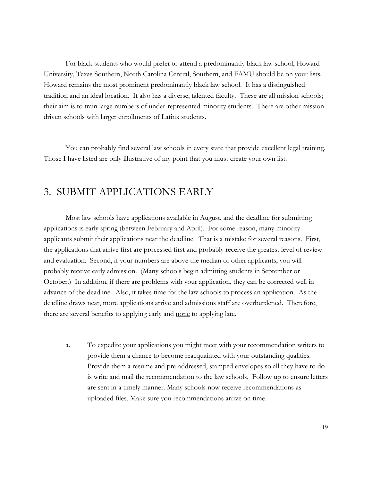For black students who would prefer to attend a predominantly black law school, Howard University, Texas Southern, North Carolina Central, Southern, and FAMU should be on your lists. Howard remains the most prominent predominantly black law school. It has a distinguished tradition and an ideal location. It also has a diverse, talented faculty. These are all mission schools; their aim is to train large numbers of under-represented minority students. There are other missiondriven schools with larger enrollments of Latinx students.

You can probably find several law schools in every state that provide excellent legal training. Those I have listed are only illustrative of my point that you must create your own list.

## 3. SUBMIT APPLICATIONS EARLY

Most law schools have applications available in August, and the deadline for submitting applications is early spring (between February and April). For some reason, many minority applicants submit their applications near the deadline. That is a mistake for several reasons. First, the applications that arrive first are processed first and probably receive the greatest level of review and evaluation. Second, if your numbers are above the median of other applicants, you will probably receive early admission. (Many schools begin admitting students in September or October.) In addition, if there are problems with your application, they can be corrected well in advance of the deadline. Also, it takes time for the law schools to process an application. As the deadline draws near, more applications arrive and admissions staff are overburdened. Therefore, there are several benefits to applying early and none to applying late.

a. To expedite your applications you might meet with your recommendation writers to provide them a chance to become reacquainted with your outstanding qualities. Provide them a resume and pre-addressed, stamped envelopes so all they have to do is write and mail the recommendation to the law schools. Follow up to ensure letters are sent in a timely manner. Many schools now receive recommendations as uploaded files. Make sure you recommendations arrive on time.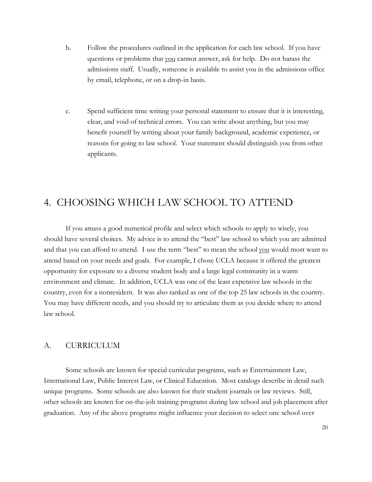- b. Follow the procedures outlined in the application for each law school. If you have questions or problems that you cannot answer, ask for help. Do not harass the admissions staff. Usually, someone is available to assist you in the admissions office by email, telephone, or on a drop-in basis.
- c. Spend sufficient time writing your personal statement to ensure that it is interesting, clear, and void of technical errors. You can write about anything, but you may benefit yourself by writing about your family background, academic experience, or reasons for going to law school. Your statement should distinguish you from other applicants.

# 4. CHOOSING WHICH LAW SCHOOL TO ATTEND

If you amass a good numerical profile and select which schools to apply to wisely, you should have several choices. My advice is to attend the "best" law school to which you are admitted and that you can afford to attend. I use the term "best" to mean the school you would most want to attend based on your needs and goals. For example, I chose UCLA because it offered the greatest opportunity for exposure to a diverse student body and a large legal community in a warm environment and climate. In addition, UCLA was one of the least expensive law schools in the country, even for a nonresident. It was also ranked as one of the top 25 law schools in the country. You may have different needs, and you should try to articulate them as you decide where to attend law school.

#### A. CURRICULUM

Some schools are known for special curricular programs, such as Entertainment Law, International Law, Public Interest Law, or Clinical Education. Most catalogs describe in detail such unique programs. Some schools are also known for their student journals or law reviews. Still, other schools are known for on-the-job training programs during law school and job placement after graduation. Any of the above programs might influence your decision to select one school over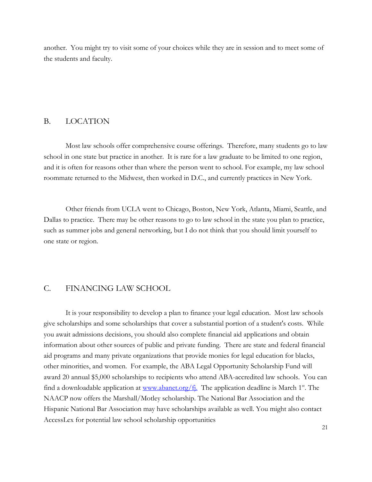another. You might try to visit some of your choices while they are in session and to meet some of the students and faculty.

#### B. LOCATION

Most law schools offer comprehensive course offerings. Therefore, many students go to law school in one state but practice in another. It is rare for a law graduate to be limited to one region, and it is often for reasons other than where the person went to school. For example, my law school roommate returned to the Midwest, then worked in D.C., and currently practices in New York.

Other friends from UCLA went to Chicago, Boston, New York, Atlanta, Miami, Seattle, and Dallas to practice. There may be other reasons to go to law school in the state you plan to practice, such as summer jobs and general networking, but I do not think that you should limit yourself to one state or region.

### C. FINANCING LAW SCHOOL

It is your responsibility to develop a plan to finance your legal education. Most law schools give scholarships and some scholarships that cover a substantial portion of a student's costs. While you await admissions decisions, you should also complete financial aid applications and obtain information about other sources of public and private funding. There are state and federal financial aid programs and many private organizations that provide monies for legal education for blacks, other minorities, and women. For example, the ABA Legal Opportunity Scholarship Fund will award 20 annual \$5,000 scholarships to recipients who attend ABA-accredited law schools. You can find a downloadable application at www.abanet.org/f<sub>1</sub>. The application deadline is March 1<sup>st</sup>. The NAACP now offers the Marshall/Motley scholarship. The National Bar Association and the Hispanic National Bar Association may have scholarships available as well. You might also contact AccessLex for potential law school scholarship opportunities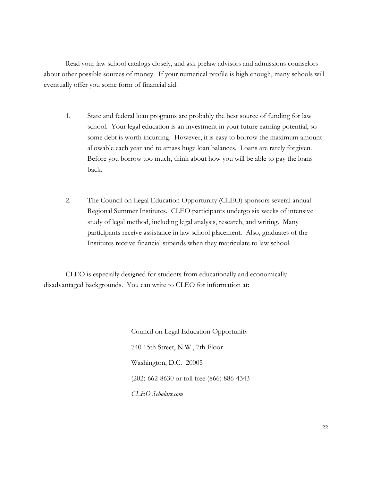Read your law school catalogs closely, and ask prelaw advisors and admissions counselors about other possible sources of money. If your numerical profile is high enough, many schools will eventually offer you some form of financial aid.

- 1. State and federal loan programs are probably the best source of funding for law school. Your legal education is an investment in your future earning potential, so some debt is worth incurring. However, it is easy to borrow the maximum amount allowable each year and to amass huge loan balances. Loans are rarely forgiven. Before you borrow too much, think about how you will be able to pay the loans back.
- 2. The Council on Legal Education Opportunity (CLEO) sponsors several annual Regional Summer Institutes. CLEO participants undergo six weeks of intensive study of legal method, including legal analysis, research, and writing. Many participants receive assistance in law school placement. Also, graduates of the Institutes receive financial stipends when they matriculate to law school.

CLEO is especially designed for students from educationally and economically disadvantaged backgrounds. You can write to CLEO for information at:

> Council on Legal Education Opportunity 740 15th Street, N.W., 7th Floor Washington, D.C. 20005 (202) 662-8630 or toll free (866) 886-4343 *CLEO Scholars.com*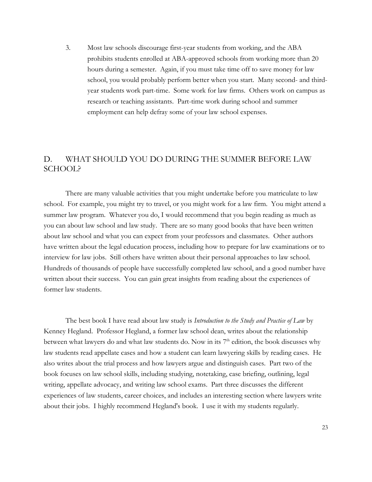3. Most law schools discourage first-year students from working, and the ABA prohibits students enrolled at ABA-approved schools from working more than 20 hours during a semester. Again, if you must take time off to save money for law school, you would probably perform better when you start. Many second- and thirdyear students work part-time. Some work for law firms. Others work on campus as research or teaching assistants. Part-time work during school and summer employment can help defray some of your law school expenses.

### D. WHAT SHOULD YOU DO DURING THE SUMMER BEFORE LAW SCHOOL?

There are many valuable activities that you might undertake before you matriculate to law school. For example, you might try to travel, or you might work for a law firm. You might attend a summer law program. Whatever you do, I would recommend that you begin reading as much as you can about law school and law study. There are so many good books that have been written about law school and what you can expect from your professors and classmates. Other authors have written about the legal education process, including how to prepare for law examinations or to interview for law jobs. Still others have written about their personal approaches to law school. Hundreds of thousands of people have successfully completed law school, and a good number have written about their success. You can gain great insights from reading about the experiences of former law students.

The best book I have read about law study is *Introduction to the Study and Practice of Law* by Kenney Hegland. Professor Hegland, a former law school dean, writes about the relationship between what lawyers do and what law students do. Now in its  $7<sup>th</sup>$  edition, the book discusses why law students read appellate cases and how a student can learn lawyering skills by reading cases. He also writes about the trial process and how lawyers argue and distinguish cases. Part two of the book focuses on law school skills, including studying, notetaking, case briefing, outlining, legal writing, appellate advocacy, and writing law school exams. Part three discusses the different experiences of law students, career choices, and includes an interesting section where lawyers write about their jobs. I highly recommend Hegland's book. I use it with my students regularly.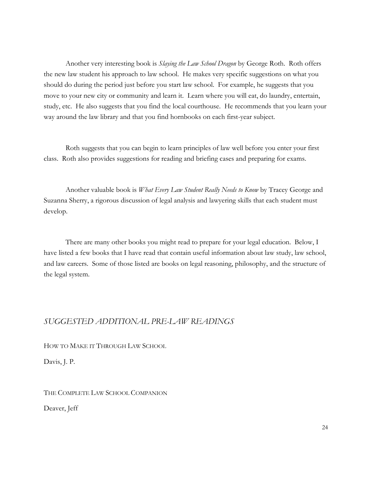Another very interesting book is *Slaying the Law School Dragon* by George Roth. Roth offers the new law student his approach to law school. He makes very specific suggestions on what you should do during the period just before you start law school. For example, he suggests that you move to your new city or community and learn it. Learn where you will eat, do laundry, entertain, study, etc. He also suggests that you find the local courthouse. He recommends that you learn your way around the law library and that you find hornbooks on each first-year subject.

Roth suggests that you can begin to learn principles of law well before you enter your first class. Roth also provides suggestions for reading and briefing cases and preparing for exams.

Another valuable book is *What Every Law Student Really Needs to Know* by Tracey George and Suzanna Sherry, a rigorous discussion of legal analysis and lawyering skills that each student must develop.

There are many other books you might read to prepare for your legal education. Below, I have listed a few books that I have read that contain useful information about law study, law school, and law careers. Some of those listed are books on legal reasoning, philosophy, and the structure of the legal system.

### *SUGGESTED ADDITIONAL PRE-LAW READINGS*

HOW TO MAKE IT THROUGH LAW SCHOOL

Davis, J. P.

THE COMPLETE LAW SCHOOL COMPANION

Deaver, Jeff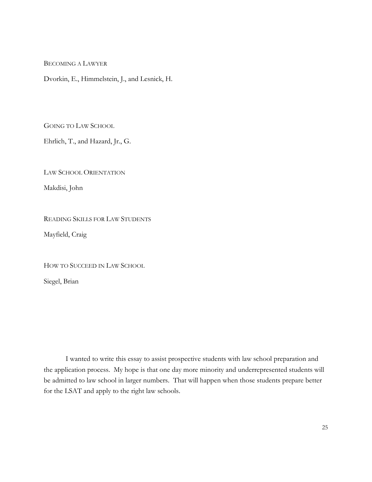BECOMING A LAWYER

Dvorkin, E., Himmelstein, J., and Lesnick, H.

GOING TO LAW SCHOOL

Ehrlich, T., and Hazard, Jr., G.

LAW SCHOOL ORIENTATION

Makdisi, John

READING SKILLS FOR LAW STUDENTS

Mayfield, Craig

HOW TO SUCCEED IN LAW SCHOOL

Siegel, Brian

I wanted to write this essay to assist prospective students with law school preparation and the application process. My hope is that one day more minority and underrepresented students will be admitted to law school in larger numbers. That will happen when those students prepare better for the LSAT and apply to the right law schools.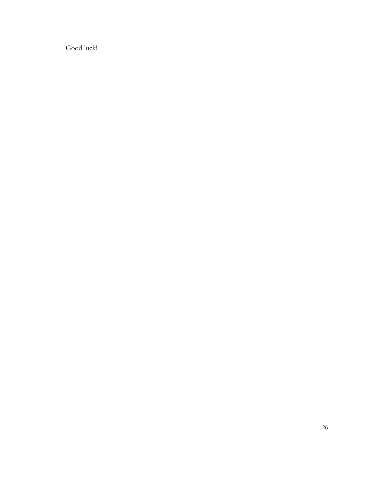Good luck!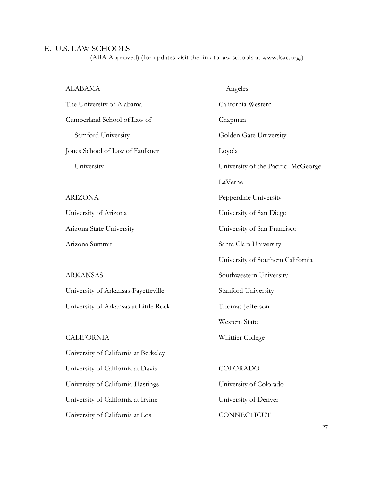# E. U.S. LAW SCHOOLS

(ABA Approved) (for updates visit the link to law schools at www.lsac.org.)

| <b>ALABAMA</b>                        | Angeles                            |
|---------------------------------------|------------------------------------|
| The University of Alabama             | California Western                 |
| Cumberland School of Law of           | Chapman                            |
| Samford University                    | Golden Gate University             |
| Jones School of Law of Faulkner       | Loyola                             |
| University                            | University of the Pacific-McGeorge |
|                                       | LaVerne                            |
| <b>ARIZONA</b>                        | Pepperdine University              |
| University of Arizona                 | University of San Diego            |
| Arizona State University              | University of San Francisco        |
| Arizona Summit                        | Santa Clara University             |
|                                       | University of Southern California  |
| <b>ARKANSAS</b>                       | Southwestern University            |
| University of Arkansas-Fayetteville   | Stanford University                |
| University of Arkansas at Little Rock | Thomas Jefferson                   |
|                                       | Western State                      |
| <b>CALIFORNIA</b>                     | Whittier College                   |
| University of California at Berkeley  |                                    |
| University of California at Davis     | COLORADO                           |
| University of California-Hastings     | University of Colorado             |
| University of California at Irvine    | University of Denver               |
| University of California at Los       | CONNECTICUT                        |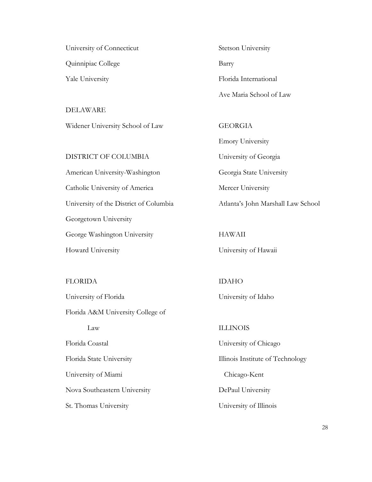University of Connecticut Quinnipiac College Yale University

DELAWARE Widener University School of Law

DISTRICT OF COLUMBIA

American University-Washington Catholic University of America University of the District of Columbia Georgetown University George Washington University Howard University

FLORIDA

University of Florida Florida A&M University College of Law Florida Coastal Florida State University University of Miami Nova Southeastern University St. Thomas University

Stetson University Barry Florida International Ave Maria School of Law

**GEORGIA** 

Emory University University of Georgia Georgia State University Mercer University Atlanta's John Marshall Law School

HAWAII University of Hawaii

IDAHO University of Idaho

ILLINOIS University of Chicago Illinois Institute of Technology Chicago-Kent DePaul University University of Illinois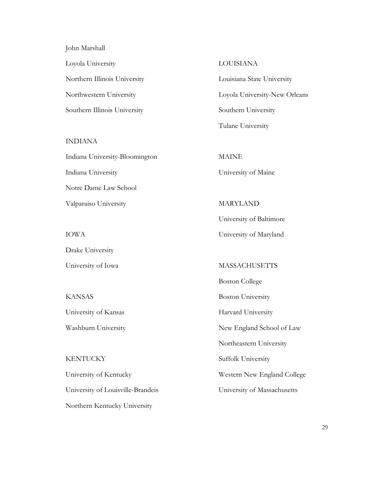John Marshall Loyola University Northern Illinois University Northwestern University Southern Illinois University

INDIANA

Indiana University-Bloomington Indiana University Notre Dame Law School Valparaiso University

IOWA Drake University University of Iowa

KANSAS University of Kansas Washburn University

KENTUCKY University of Kentucky University of Louisville-Brandeis Northern Kentucky University

LOUISIANA

Louisiana State University Loyola University-New Orleans Southern University Tulane University

MAINE University of Maine

MARYLAND University of Baltimore University of Maryland

MASSACHUSETTS

Boston College

Boston University

Harvard University

New England School of Law

Northeastern University

Suffolk University

Western New England College

University of Massachusetts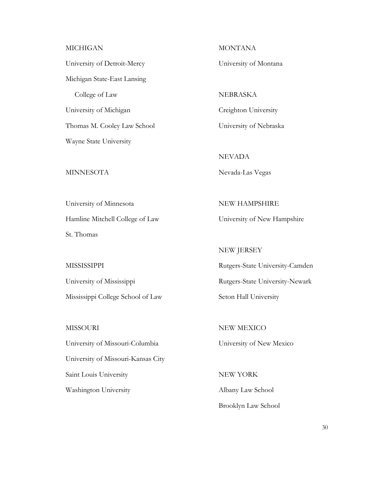#### MICHIGAN

University of Detroit-Mercy Michigan State-East Lansing College of Law University of Michigan Thomas M. Cooley Law School Wayne State University

#### **MINNESOTA**

University of Minnesota Hamline Mitchell College of Law St. Thomas

**MISSISSIPPI** University of Mississippi Mississippi College School of Law

MISSOURI University of Missouri-Columbia University of Missouri-Kansas City Saint Louis University Washington University

**MONTANA** 

University of Montana

NEBRASKA Creighton University University of Nebraska

NEVADA Nevada-Las Vegas

NEW HAMPSHIRE University of New Hampshire

NEW JERSEY Rutgers-State University-Camden Rutgers-State University-Newark Seton Hall University

NEW MEXICO University of New Mexico

NEW YORK Albany Law School Brooklyn Law School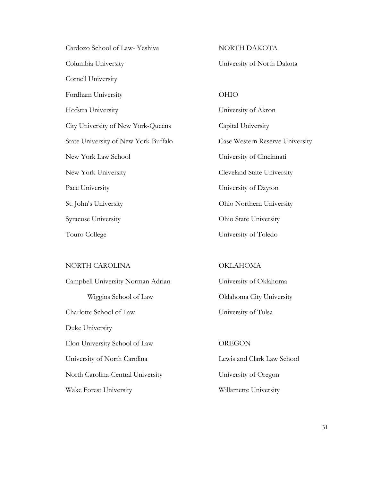| Cardozo School of Law-Yeshiva        |
|--------------------------------------|
| Columbia University                  |
| Cornell University                   |
| Fordham University                   |
| Hofstra University                   |
| City University of New York-Queens   |
| State University of New York-Buffalo |
| New York Law School                  |
| New York University                  |
| Pace University                      |
| St. John's University                |
| Syracuse University                  |
| Touro College                        |

### NORTH CAROLINA

Campbell University Norman Adrian Wiggins School of Law Charlotte School of Law Duke University Elon University School of Law University of North Carolina North Carolina-Central University Wake Forest University

NORTH DAKOTA University of North Dakota

OHIO University of Akron Capital University Case Western Reserve University University of Cincinnati Cleveland State University University of Dayton Ohio Northern University Ohio State University University of Toledo

#### **OKLAHOMA**

University of Oklahoma Oklahoma City University University of Tulsa

### **OREGON**

Lewis and Clark Law School University of Oregon Willamette University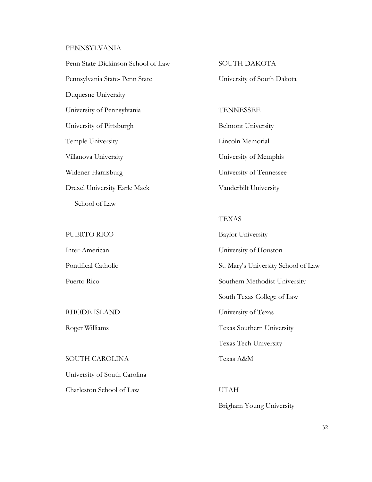### PENNSYLVANIA

Penn State-Dickinson School of Law Pennsylvania State- Penn State Duquesne University University of Pennsylvania University of Pittsburgh Temple University Villanova University Widener-Harrisburg Drexel University Earle Mack School of Law

PUERTO RICO

Inter-American Pontifical Catholic Puerto Rico

RHODE ISLAND

Roger Williams

SOUTH CAROLINA

University of South Carolina

Charleston School of Law

SOUTH DAKOTA

University of South Dakota

**TENNESSEE** 

Belmont University Lincoln Memorial University of Memphis University of Tennessee Vanderbilt University

TEXAS

Baylor University University of Houston St. Mary's University School of Law Southern Methodist University South Texas College of Law University of Texas Texas Southern University Texas Tech University Texas A&M

UTAH Brigham Young University